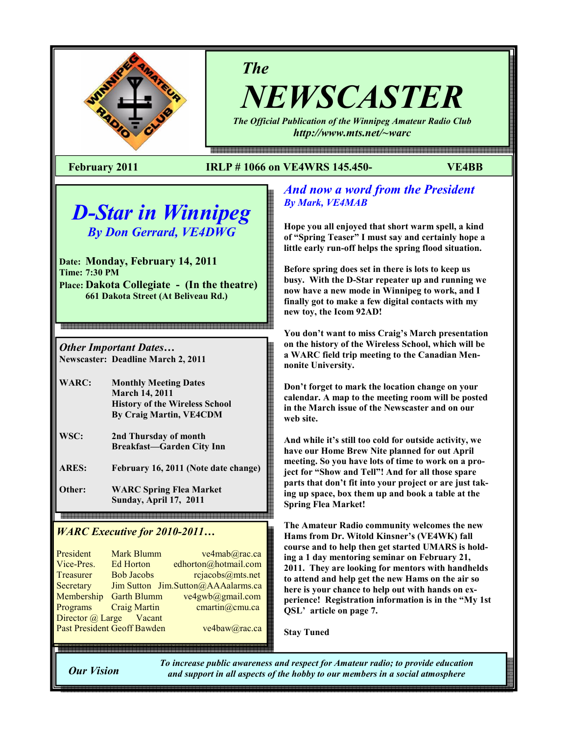

The

NEWSCASTER

The Official Publication of the Winnipeg Amateur Radio Club http://www.mts.net/~warc

몖a a a como da como do como do como do como do como do como do como do como do como do como do como do como do

## February 2011 IRLP # 1066 on VE4WRS 145.450- VE4BB

# D-Star in Winnipeg By Don Gerrard, VE4DWG

Date: Monday, February 14, 2011 Time: 7:30 PM Place: Dakota Collegiate - (In the theatre) 661 Dakota Street (At Beliveau Rd.)

Other Important Dates… Newscaster: Deadline March 2, 2011

- WARC: Monthly Meeting Dates March 14, 2011 History of the Wireless School By Craig Martin, VE4CDM
- WSC: 2nd Thursday of month Breakfast—Garden City Inn
- ARES: February 16, 2011 (Note date change)

Other: WARC Spring Flea Market Sunday, April 17, 2011

## WARC Executive for 2010-2011...

| President                          | <b>Mark Blumm</b>   | ve4mab@rac.ca                      |
|------------------------------------|---------------------|------------------------------------|
| Vice-Pres.                         | <b>Ed Horton</b>    | edhorton@hotmail.com               |
| <b>Treasurer</b>                   | <b>Bob Jacobs</b>   | rcjacobs@mts.net                   |
| Secretary                          |                     | Jim Sutton Jim.Sutton@AAAalarms.ca |
| Membership                         | <b>Garth Blumm</b>  | ve4gwb@gmail.com                   |
| Programs                           | <b>Craig Martin</b> | cmartin@cmu.ca                     |
| Director @ Large Vacant            |                     |                                    |
| <b>Past President Geoff Bawden</b> |                     | ve4baw@rac.ca                      |
|                                    |                     |                                    |

## And now a word from the President By Mark, VE4MAB

Hope you all enjoyed that short warm spell, a kind of "Spring Teaser" I must say and certainly hope a little early run-off helps the spring flood situation.

Before spring does set in there is lots to keep us busy. With the D-Star repeater up and running we now have a new mode in Winnipeg to work, and I finally got to make a few digital contacts with my new toy, the Icom 92AD!

You don't want to miss Craig's March presentation on the history of the Wireless School, which will be a WARC field trip meeting to the Canadian Mennonite University.

Don't forget to mark the location change on your calendar. A map to the meeting room will be posted in the March issue of the Newscaster and on our web site.

And while it's still too cold for outside activity, we have our Home Brew Nite planned for out April meeting. So you have lots of time to work on a project for "Show and Tell"! And for all those spare parts that don't fit into your project or are just taking up space, box them up and book a table at the Spring Flea Market!

The Amateur Radio community welcomes the new Hams from Dr. Witold Kinsner's (VE4WK) fall course and to help then get started UMARS is holding a 1 day mentoring seminar on February 21, 2011. They are looking for mentors with handhelds to attend and help get the new Hams on the air so here is your chance to help out with hands on experience! Registration information is in the "My 1st QSL' article on page 7.

Stay Tuned

Our Vision

To increase public awareness and respect for Amateur radio; to provide education and support in all aspects of the hobby to our members in a social atmosphere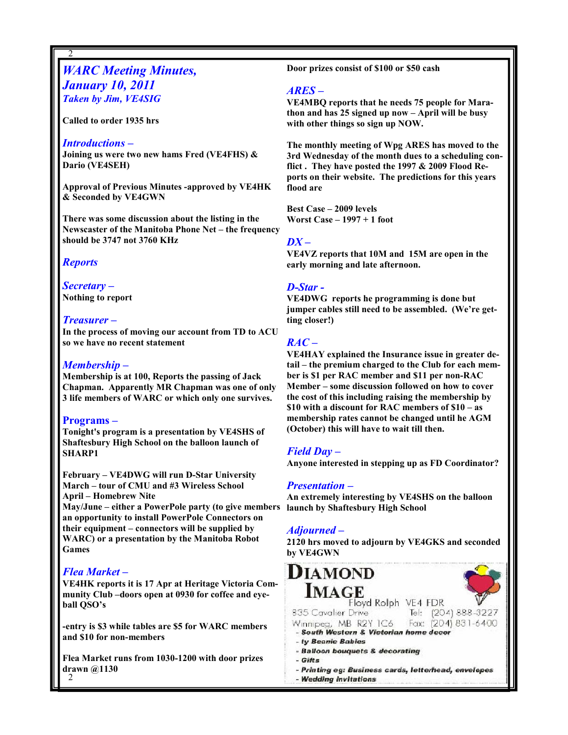## **WARC Meeting Minutes,** January 10, 2011 Taken by Jim, VE4SIG

Called to order 1935 hrs

#### Introductions –

2

Joining us were two new hams Fred (VE4FHS) & Dario (VE4SEH)

Approval of Previous Minutes -approved by VE4HK & Seconded by VE4GWN

There was some discussion about the listing in the Newscaster of the Manitoba Phone Net – the frequency should be 3747 not 3760 KHz

#### **Reports**

Secretary – Nothing to report

#### Treasurer –

In the process of moving our account from TD to ACU so we have no recent statement

### Membership –

Membership is at 100, Reports the passing of Jack Chapman. Apparently MR Chapman was one of only 3 life members of WARC or which only one survives.

#### Programs –

Tonight's program is a presentation by VE4SHS of Shaftesbury High School on the balloon launch of SHARP1

February – VE4DWG will run D-Star University March – tour of CMU and #3 Wireless School April – Homebrew Nite

May/June – either a PowerPole party (to give members an opportunity to install PowerPole Connectors on their equipment – connectors will be supplied by WARC) or a presentation by the Manitoba Robot Games

### Flea Market –

VE4HK reports it is 17 Apr at Heritage Victoria Community Club –doors open at 0930 for coffee and eyeball QSO's

-entry is \$3 while tables are \$5 for WARC members and \$10 for non-members

2 Flea Market runs from 1030-1200 with door prizes drawn @1130

Door prizes consist of \$100 or \$50 cash

#### ARES –

VE4MBQ reports that he needs 75 people for Marathon and has 25 signed up now – April will be busy with other things so sign up NOW.

The monthly meeting of Wpg ARES has moved to the 3rd Wednesday of the month dues to a scheduling conflict . They have posted the 1997 & 2009 Flood Reports on their website. The predictions for this years flood are

Best Case – 2009 levels Worst Case – 1997 + 1 foot

#### $DX -$

VE4VZ reports that 10M and 15M are open in the early morning and late afternoon.

#### D-Star -

VE4DWG reports he programming is done but jumper cables still need to be assembled. (We're getting closer!)

#### $RAC -$

VE4HAY explained the Insurance issue in greater detail – the premium charged to the Club for each member is \$1 per RAC member and \$11 per non-RAC Member – some discussion followed on how to cover the cost of this including raising the membership by \$10 with a discount for RAC members of \$10 – as membership rates cannot be changed until he AGM (October) this will have to wait till then.

### Field Day –

Anyone interested in stepping up as FD Coordinator?

#### Presentation –

An extremely interesting by VE4SHS on the balloon launch by Shaftesbury High School

### Adjourned –

2120 hrs moved to adjourn by VE4GKS and seconded by VE4GWN

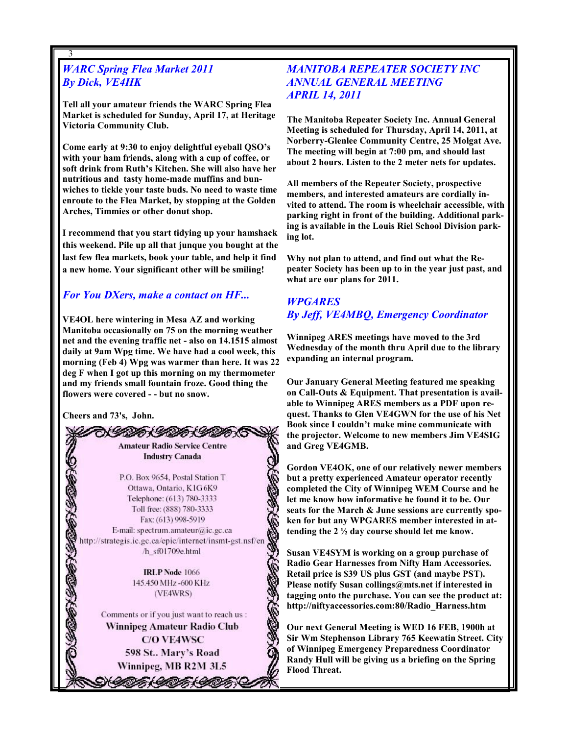## WARC Spring Flea Market 2011 By Dick, VE4HK

3

Tell all your amateur friends the WARC Spring Flea Market is scheduled for Sunday, April 17, at Heritage Victoria Community Club.

Come early at 9:30 to enjoy delightful eyeball QSO's with your ham friends, along with a cup of coffee, or soft drink from Ruth's Kitchen. She will also have her nutritious and tasty home-made muffins and bunwiches to tickle your taste buds. No need to waste time enroute to the Flea Market, by stopping at the Golden Arches, Timmies or other donut shop.

I recommend that you start tidying up your hamshack this weekend. Pile up all that junque you bought at the last few flea markets, book your table, and help it find a new home. Your significant other will be smiling!

## For You DXers, make a contact on HF...

VE4OL here wintering in Mesa AZ and working Manitoba occasionally on 75 on the morning weather net and the evening traffic net - also on 14.1515 almost daily at 9am Wpg time. We have had a cool week, this morning (Feb 4) Wpg was warmer than here. It was 22 deg F when I got up this morning on my thermometer and my friends small fountain froze. Good thing the flowers were covered - - but no snow.

Cheers and 73's, John.



## MANITOBA REPEATER SOCIETY INC ANNUAL GENERAL MEETING APRIL 14, 2011

The Manitoba Repeater Society Inc. Annual General Meeting is scheduled for Thursday, April 14, 2011, at Norberry-Glenlee Community Centre, 25 Molgat Ave. The meeting will begin at 7:00 pm, and should last about 2 hours. Listen to the 2 meter nets for updates.

All members of the Repeater Society, prospective members, and interested amateurs are cordially invited to attend. The room is wheelchair accessible, with parking right in front of the building. Additional parking is available in the Louis Riel School Division parking lot.

Why not plan to attend, and find out what the Repeater Society has been up to in the year just past, and what are our plans for 2011.

## **WPGARES** By Jeff, VE4MBQ, Emergency Coordinator

Winnipeg ARES meetings have moved to the 3rd Wednesday of the month thru April due to the library expanding an internal program.

Our January General Meeting featured me speaking on Call-Outs & Equipment. That presentation is available to Winnipeg ARES members as a PDF upon request. Thanks to Glen VE4GWN for the use of his Net Book since I couldn't make mine communicate with the projector. Welcome to new members Jim VE4SIG and Greg VE4GMB.

Gordon VE4OK, one of our relatively newer members but a pretty experienced Amateur operator recently completed the City of Winnipeg WEM Course and he let me know how informative he found it to be. Our seats for the March & June sessions are currently spoken for but any WPGARES member interested in attending the 2 ½ day course should let me know.

Susan VE4SYM is working on a group purchase of Radio Gear Harnesses from Nifty Ham Accessories. Retail price is \$39 US plus GST (and maybe PST). Please notify Susan collings@mts.net if interested in tagging onto the purchase. You can see the product at: http://niftyaccessories.com:80/Radio\_Harness.htm

Our next General Meeting is WED 16 FEB, 1900h at Sir Wm Stephenson Library 765 Keewatin Street. City of Winnipeg Emergency Preparedness Coordinator Randy Hull will be giving us a briefing on the Spring Flood Threat.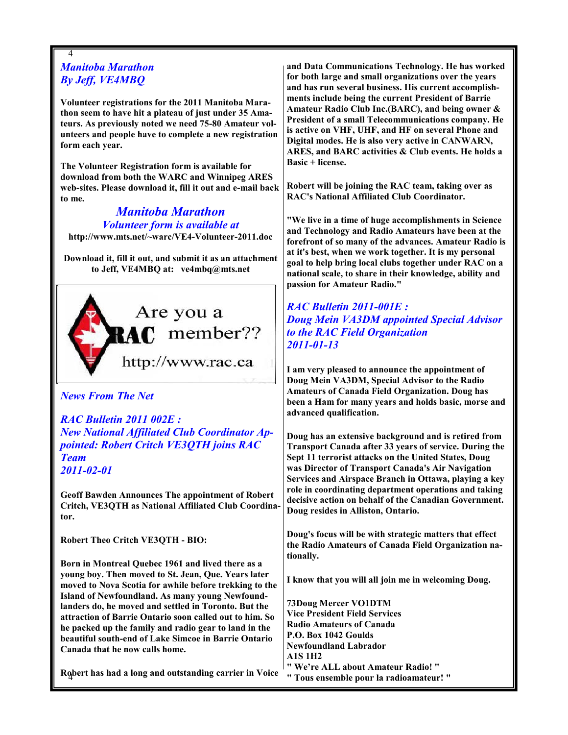## 4 Manitoba Marathon By Jeff, VE4MBQ

Volunteer registrations for the 2011 Manitoba Marathon seem to have hit a plateau of just under 35 Amateurs. As previously noted we need 75-80 Amateur volunteers and people have to complete a new registration form each year.

The Volunteer Registration form is available for download from both the WARC and Winnipeg ARES web-sites. Please download it, fill it out and e-mail back to me.

Manitoba Marathon Volunteer form is available at http://www.mts.net/~warc/VE4-Volunteer-2011.doc

Download it, fill it out, and submit it as an attachment to Jeff, VE4MBQ at: ve4mbq@mts.net



### News From The Net

RAC Bulletin 2011 002E : New National Affiliated Club Coordinator Appointed: Robert Critch VE3QTH joins RAC Team 2011-02-01

Geoff Bawden Announces The appointment of Robert Critch, VE3QTH as National Affiliated Club Coordinator.

Robert Theo Critch VE3QTH - BIO:

Born in Montreal Quebec 1961 and lived there as a young boy. Then moved to St. Jean, Que. Years later moved to Nova Scotia for awhile before trekking to the Island of Newfoundland. As many young Newfoundlanders do, he moved and settled in Toronto. But the attraction of Barrie Ontario soon called out to him. So he packed up the family and radio gear to land in the beautiful south-end of Lake Simcoe in Barrie Ontario Canada that he now calls home.

4 Robert has had a long and outstanding carrier in Voice

and Data Communications Technology. He has worked for both large and small organizations over the years and has run several business. His current accomplishments include being the current President of Barrie Amateur Radio Club Inc.(BARC), and being owner & President of a small Telecommunications company. He is active on VHF, UHF, and HF on several Phone and Digital modes. He is also very active in CANWARN, ARES, and BARC activities & Club events. He holds a Basic + license.

Robert will be joining the RAC team, taking over as RAC's National Affiliated Club Coordinator.

"We live in a time of huge accomplishments in Science and Technology and Radio Amateurs have been at the forefront of so many of the advances. Amateur Radio is at it's best, when we work together. It is my personal goal to help bring local clubs together under RAC on a national scale, to share in their knowledge, ability and passion for Amateur Radio."

RAC Bulletin 2011-001E : Doug Mein VA3DM appointed Special Advisor to the RAC Field Organization 2011-01-13

I am very pleased to announce the appointment of Doug Mein VA3DM, Special Advisor to the Radio Amateurs of Canada Field Organization. Doug has been a Ham for many years and holds basic, morse and advanced qualification.

Doug has an extensive background and is retired from Transport Canada after 33 years of service. During the Sept 11 terrorist attacks on the United States, Doug was Director of Transport Canada's Air Navigation Services and Airspace Branch in Ottawa, playing a key role in coordinating department operations and taking decisive action on behalf of the Canadian Government. Doug resides in Alliston, Ontario.

Doug's focus will be with strategic matters that effect the Radio Amateurs of Canada Field Organization nationally.

I know that you will all join me in welcoming Doug.

73Doug Mercer VO1DTM Vice President Field Services Radio Amateurs of Canada P.O. Box 1042 Goulds Newfoundland Labrador A1S 1H2 " We're ALL about Amateur Radio! "

" Tous ensemble pour la radioamateur! "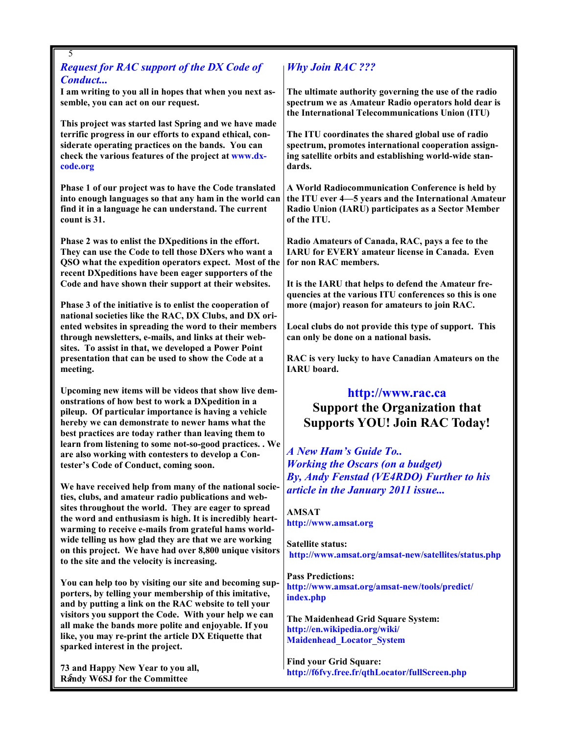## Request for RAC support of the DX Code of Conduct...

5

I am writing to you all in hopes that when you next assemble, you can act on our request.

This project was started last Spring and we have made terrific progress in our efforts to expand ethical, considerate operating practices on the bands. You can check the various features of the project at www.dxcode.org

Phase 1 of our project was to have the Code translated into enough languages so that any ham in the world can find it in a language he can understand. The current count is 31.

Phase 2 was to enlist the DXpeditions in the effort. They can use the Code to tell those DXers who want a QSO what the expedition operators expect. Most of the recent DXpeditions have been eager supporters of the Code and have shown their support at their websites.

Phase 3 of the initiative is to enlist the cooperation of national societies like the RAC, DX Clubs, and DX oriented websites in spreading the word to their members through newsletters, e-mails, and links at their websites. To assist in that, we developed a Power Point presentation that can be used to show the Code at a meeting.

Upcoming new items will be videos that show live demonstrations of how best to work a DXpedition in a pileup. Of particular importance is having a vehicle hereby we can demonstrate to newer hams what the best practices are today rather than leaving them to learn from listening to some not-so-good practices. . We are also working with contesters to develop a Contester's Code of Conduct, coming soon.

We have received help from many of the national societies, clubs, and amateur radio publications and websites throughout the world. They are eager to spread the word and enthusiasm is high. It is incredibly heartwarming to receive e-mails from grateful hams worldwide telling us how glad they are that we are working on this project. We have had over 8,800 unique visitors to the site and the velocity is increasing.

You can help too by visiting our site and becoming supporters, by telling your membership of this imitative, and by putting a link on the RAC website to tell your visitors you support the Code. With your help we can all make the bands more polite and enjoyable. If you like, you may re-print the article DX Etiquette that sparked interest in the project.

Randy W6SJ for the Committee 73 and Happy New Year to you all,

## Why Join RAC ???

The ultimate authority governing the use of the radio spectrum we as Amateur Radio operators hold dear is the International Telecommunications Union (ITU)

The ITU coordinates the shared global use of radio spectrum, promotes international cooperation assigning satellite orbits and establishing world-wide standards.

A World Radiocommunication Conference is held by the ITU ever 4—5 years and the International Amateur Radio Union (IARU) participates as a Sector Member of the ITU.

Radio Amateurs of Canada, RAC, pays a fee to the IARU for EVERY amateur license in Canada. Even for non RAC members.

It is the IARU that helps to defend the Amateur frequencies at the various ITU conferences so this is one more (major) reason for amateurs to join RAC.

Local clubs do not provide this type of support. This can only be done on a national basis.

RAC is very lucky to have Canadian Amateurs on the IARU board.

## http://www.rac.ca

Support the Organization that Supports YOU! Join RAC Today!

A New Ham's Guide To.. Working the Oscars (on a budget) By, Andy Fenstad (VE4RDO) Further to his article in the January 2011 issue...

AMSAT http://www.amsat.org

Satellite status: http://www.amsat.org/amsat-new/satellites/status.php

Pass Predictions: http://www.amsat.org/amsat-new/tools/predict/ index.php

The Maidenhead Grid Square System: http://en.wikipedia.org/wiki/ Maidenhead\_Locator\_System

Find your Grid Square: http://f6fvy.free.fr/qthLocator/fullScreen.php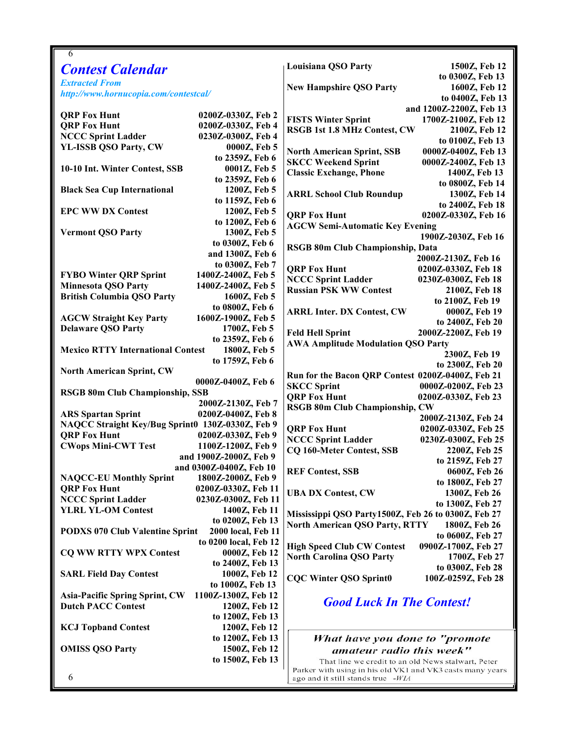| 6                                                |                                   |                                                           |                                   |
|--------------------------------------------------|-----------------------------------|-----------------------------------------------------------|-----------------------------------|
| <b>Contest Calendar</b>                          |                                   | <b>Louisiana QSO Party</b>                                | 1500Z, Feb 12                     |
| <b>Extracted From</b>                            |                                   |                                                           | to 0300Z, Feb 13                  |
| http://www.hornucopia.com/contestcal/            |                                   | <b>New Hampshire QSO Party</b>                            | 1600Z, Feb 12                     |
|                                                  |                                   |                                                           | to 0400Z, Feb 13                  |
| <b>QRP Fox Hunt</b>                              | 0200Z-0330Z, Feb 2                |                                                           | and 1200Z-2200Z, Feb 13           |
| <b>QRP Fox Hunt</b>                              | 0200Z-0330Z, Feb 4                | <b>FISTS Winter Sprint</b>                                | 1700Z-2100Z, Feb 12               |
| <b>NCCC Sprint Ladder</b>                        | 0230Z-0300Z, Feb 4                | <b>RSGB 1st 1.8 MHz Contest, CW</b>                       | 2100Z, Feb 12                     |
| YL-ISSB QSO Party, CW                            | 0000Z, Feb 5                      |                                                           | to 0100Z, Feb 13                  |
|                                                  | to 2359Z, Feb 6                   | <b>North American Sprint, SSB</b>                         | 0000Z-0400Z, Feb 13               |
| 10-10 Int. Winter Contest, SSB                   | 0001Z, Feb 5                      | <b>SKCC Weekend Sprint</b>                                | 0000Z-2400Z, Feb 13               |
|                                                  | to 2359Z, Feb 6                   | <b>Classic Exchange, Phone</b>                            | 1400Z, Feb 13                     |
| <b>Black Sea Cup International</b>               | 1200Z, Feb 5                      |                                                           | to 0800Z, Feb 14                  |
|                                                  | to 1159Z, Feb 6                   | <b>ARRL School Club Roundup</b>                           | 1300Z, Feb 14                     |
| <b>EPC WW DX Contest</b>                         | 1200Z, Feb 5                      |                                                           | to 2400Z, Feb 18                  |
|                                                  | to 1200Z, Feb 6                   | <b>QRP Fox Hunt</b>                                       | 0200Z-0330Z, Feb 16               |
| <b>Vermont QSO Party</b>                         | 1300Z, Feb 5                      | <b>AGCW Semi-Automatic Key Evening</b>                    |                                   |
|                                                  | to 0300Z, Feb 6                   | RSGB 80m Club Championship, Data                          | 1900Z-2030Z, Feb 16               |
|                                                  | and 1300Z, Feb 6                  |                                                           | 2000Z-2130Z, Feb 16               |
|                                                  | to 0300Z, Feb 7                   | <b>ORP Fox Hunt</b>                                       | 0200Z-0330Z, Feb 18               |
| <b>FYBO Winter QRP Sprint</b>                    | 1400Z-2400Z, Feb 5                | <b>NCCC Sprint Ladder</b>                                 | 0230Z-0300Z, Feb 18               |
| <b>Minnesota QSO Party</b>                       | 1400Z-2400Z, Feb 5                | <b>Russian PSK WW Contest</b>                             | 2100Z, Feb 18                     |
| <b>British Columbia QSO Party</b>                | 1600Z, Feb 5                      |                                                           | to 2100Z, Feb 19                  |
|                                                  | to 0800Z, Feb 6                   | <b>ARRL Inter. DX Contest, CW</b>                         | 0000Z, Feb 19                     |
| <b>AGCW Straight Key Party</b>                   | 1600Z-1900Z, Feb 5                |                                                           | to 2400Z, Feb 20                  |
| <b>Delaware QSO Party</b>                        | 1700Z, Feb 5                      | <b>Feld Hell Sprint</b>                                   | 2000Z-2200Z, Feb 19               |
|                                                  | to 2359Z, Feb 6                   | <b>AWA Amplitude Modulation QSO Party</b>                 |                                   |
| <b>Mexico RTTY International Contest</b>         | 1800Z, Feb 5                      |                                                           | 2300Z, Feb 19                     |
|                                                  | to 1759Z, Feb 6                   |                                                           | to 2300Z, Feb 20                  |
| <b>North American Sprint, CW</b>                 | 0000Z-0400Z, Feb 6                | Run for the Bacon QRP Contest 0200Z-0400Z, Feb 21         |                                   |
| <b>RSGB 80m Club Championship, SSB</b>           |                                   | <b>SKCC Sprint</b>                                        | 0000Z-0200Z, Feb 23               |
|                                                  | 2000Z-2130Z, Feb 7                | <b>QRP Fox Hunt</b>                                       | 0200Z-0330Z, Feb 23               |
| <b>ARS Spartan Sprint</b>                        | 0200Z-0400Z, Feb 8                | RSGB 80m Club Championship, CW                            |                                   |
| NAQCC Straight Key/Bug Sprint0 130Z-0330Z, Feb 9 |                                   |                                                           | 2000Z-2130Z, Feb 24               |
| <b>QRP Fox Hunt</b>                              | 0200Z-0330Z, Feb 9                | <b>ORP Fox Hunt</b>                                       | 0200Z-0330Z, Feb 25               |
| <b>CWops Mini-CWT Test</b>                       | 1100Z-1200Z, Feb 9                | <b>NCCC Sprint Ladder</b>                                 | 0230Z-0300Z, Feb 25               |
|                                                  | and 1900Z-2000Z, Feb 9            | <b>CQ 160-Meter Contest, SSB</b>                          | 2200Z, Feb 25                     |
|                                                  | and 0300Z-0400Z, Feb 10           | <b>REF Contest, SSB</b>                                   | to 2159Z, Feb 27<br>0600Z, Feb 26 |
| <b>NAQCC-EU Monthly Sprint</b>                   | 1800Z-2000Z, Feb 9                |                                                           | to 1800Z, Feb 27                  |
| <b>QRP Fox Hunt</b>                              | 0200Z-0330Z, Feb 11               | <b>UBA DX Contest, CW</b>                                 | 1300Z, Feb 26                     |
| <b>NCCC Sprint Ladder</b>                        | 0230Z-0300Z, Feb 11               |                                                           | to 1300Z, Feb 27                  |
| <b>YLRL YL-OM Contest</b>                        | 1400Z, Feb 11                     | Mississippi QSO Party1500Z, Feb 26 to 0300Z, Feb 27       |                                   |
|                                                  | to 0200Z, Feb 13                  | <b>North American QSO Party, RTTY</b>                     | 1800Z, Feb 26                     |
| <b>PODXS 070 Club Valentine Sprint</b>           | 2000 local, Feb 11                |                                                           | to 0600Z, Feb 27                  |
|                                                  | to 0200 local, Feb 12             | <b>High Speed Club CW Contest</b>                         | 0900Z-1700Z, Feb 27               |
| <b>CQ WW RTTY WPX Contest</b>                    | 0000Z, Feb 12                     | <b>North Carolina QSO Party</b>                           | 1700Z, Feb 27                     |
|                                                  | to 2400Z, Feb 13                  |                                                           | to 0300Z, Feb 28                  |
| <b>SARL Field Day Contest</b>                    | 1000Z, Feb 12<br>to 1000Z, Feb 13 | <b>CQC Winter QSO Sprint0</b>                             | 100Z-0259Z, Feb 28                |
| <b>Asia-Pacific Spring Sprint, CW</b>            | 1100Z-1300Z, Feb 12               |                                                           |                                   |
| <b>Dutch PACC Contest</b>                        | 1200Z, Feb 12                     | <b>Good Luck In The Contest!</b>                          |                                   |
|                                                  | to 1200Z, Feb 13                  |                                                           |                                   |
| <b>KCJ Topband Contest</b>                       | 1200Z, Feb 12                     |                                                           |                                   |
|                                                  | to 1200Z, Feb 13                  | What have you done to "promote                            |                                   |
| <b>OMISS QSO Party</b>                           | 1500Z, Feb 12                     | amateur radio this week"                                  |                                   |
|                                                  | to 1500Z, Feb 13                  | That line we credit to an old News stalwart, Peter        |                                   |
|                                                  |                                   | Parker with using in his old VK1 and VK3 casts many years |                                   |
| 6                                                |                                   | ago and it still stands true -WIA                         |                                   |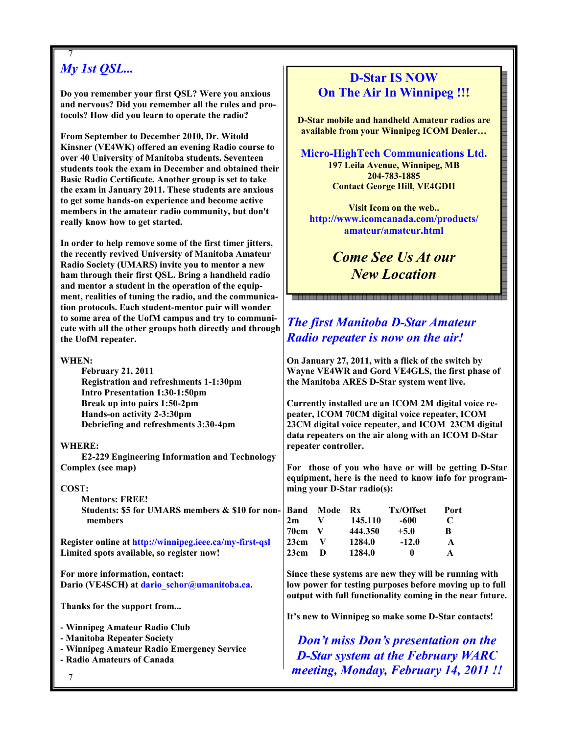## 7 My 1st **QSL...**

Do you remember your first QSL? Were you anxious and nervous? Did you remember all the rules and protocols? How did you learn to operate the radio?

From September to December 2010, Dr. Witold Kinsner (VE4WK) offered an evening Radio course to over 40 University of Manitoba students. Seventeen students took the exam in December and obtained their Basic Radio Certificate. Another group is set to take the exam in January 2011. These students are anxious to get some hands-on experience and become active members in the amateur radio community, but don't really know how to get started.

In order to help remove some of the first timer jitters, the recently revived University of Manitoba Amateur Radio Society (UMARS) invite you to mentor a new ham through their first QSL. Bring a handheld radio and mentor a student in the operation of the equipment, realities of tuning the radio, and the communication protocols. Each student-mentor pair will wonder to some area of the UofM campus and try to communicate with all the other groups both directly and through the UofM repeater.

| <b>February 21, 2011</b>                      |
|-----------------------------------------------|
| <b>Registration and refreshments 1-1:30pm</b> |
| <b>Intro Presentation 1:30-1:50pm</b>         |
| Break up into pairs 1:50-2pm                  |
| Hands-on activity 2-3:30pm                    |
| Debriefing and refreshments 3:30-4pm          |

WHERE:

 E2-229 Engineering Information and Technology Complex (see map)

#### COST:

 Mentors: FREE! Students: \$5 for UMARS members & \$10 for non members

Register online at http://winnipeg.ieee.ca/my-first-qsl Limited spots available, so register now!

For more information, contact: Dario (VE4SCH) at dario\_schor@umanitoba.ca.

Thanks for the support from...

- Winnipeg Amateur Radio Club - Manitoba Repeater Society

- Winnipeg Amateur Radio Emergency Service

- Radio Amateurs of Canada

## D-Star IS NOW On The Air In Winnipeg !!!

D-Star mobile and handheld Amateur radios are available from your Winnipeg ICOM Dealer…

Micro-HighTech Communications Ltd. 197 Leila Avenue, Winnipeg, MB 204-783-1885 Contact George Hill, VE4GDH

Visit Icom on the web.. http://www.icomcanada.com/products/ amateur/amateur.html

> Come See Us At our New Location

## The first Manitoba D-Star Amateur Radio repeater is now on the air!

On January 27, 2011, with a flick of the switch by Wayne VE4WR and Gord VE4GLS, the first phase of the Manitoba ARES D-Star system went live.

Currently installed are an ICOM 2M digital voice repeater, ICOM 70CM digital voice repeater, ICOM 23CM digital voice repeater, and ICOM 23CM digital data repeaters on the air along with an ICOM D-Star repeater controller.

For those of you who have or will be getting D-Star equipment, here is the need to know info for programming your D-Star radio(s):

| Band        | Mode | Rx      | Tx/Offset | Port        |
|-------------|------|---------|-----------|-------------|
| 2m          | V    | 145.110 | -600      | $\mathbf C$ |
| <b>70cm</b> | v    | 444.350 | $+5.0$    | B           |
| 23cm        | v    | 1284.0  | $-12.0$   | A           |
| 23cm        | D    | 1284.0  | 0         | A           |

Since these systems are new they will be running with low power for testing purposes before moving up to full output with full functionality coming in the near future.

It's new to Winnipeg so make some D-Star contacts!

Don't miss Don's presentation on the D-Star system at the February WARC meeting, Monday, February 14, 2011 !!